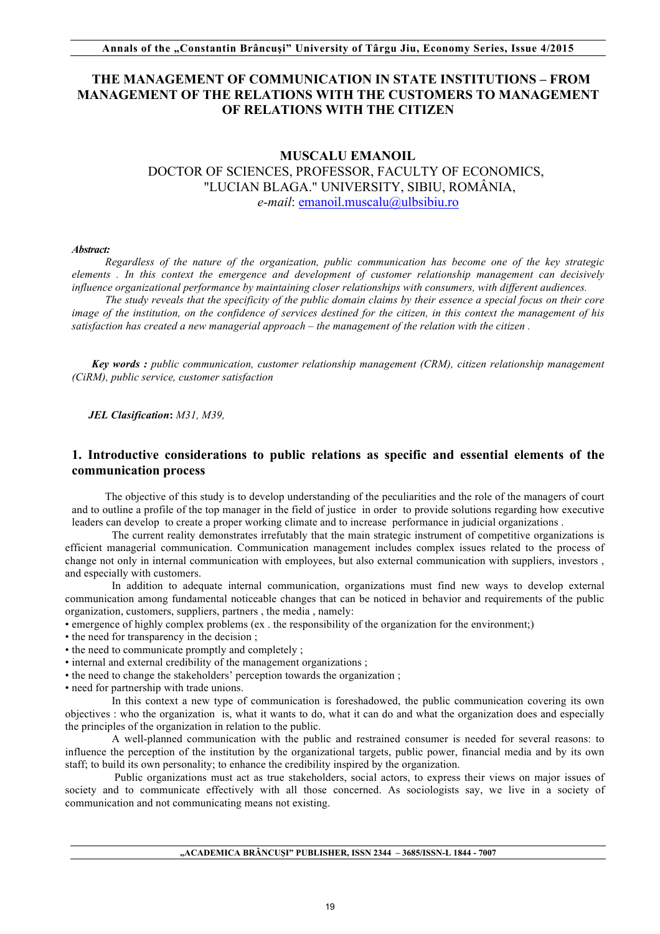## **THE MANAGEMENT OF COMMUNICATION IN STATE INSTITUTIONS – FROM MANAGEMENT OF THE RELATIONS WITH THE CUSTOMERS TO MANAGEMENT OF RELATIONS WITH THE CITIZEN**

## **MUSCALU EMANOIL**

DOCTOR OF SCIENCES, PROFESSOR, FACULTY OF ECONOMICS, "LUCIAN BLAGA." UNIVERSITY, SIBIU, ROMÂNIA, *e-mail*: emanoil.muscalu@ulbsibiu.ro

#### *Abstract:*

*Regardless of the nature of the organization, public communication has become one of the key strategic elements . In this context the emergence and development of customer relationship management can decisively influence organizational performance by maintaining closer relationships with consumers, with different audiences.*

*The study reveals that the specificity of the public domain claims by their essence a special focus on their core image of the institution, on the confidence of services destined for the citizen, in this context the management of his satisfaction has created a new managerial approach – the management of the relation with the citizen .*

*Key words : public communication, customer relationship management (CRM), citizen relationship management (CiRM), public service, customer satisfaction*

 *JEL Clasification***:** *M31, M39,*

## **1. Introductive considerations to public relations as specific and essential elements of the communication process**

The objective of this study is to develop understanding of the peculiarities and the role of the managers of court and to outline a profile of the top manager in the field of justice in order to provide solutions regarding how executive leaders can develop to create a proper working climate and to increase performance in judicial organizations .

The current reality demonstrates irrefutably that the main strategic instrument of competitive organizations is efficient managerial communication. Communication management includes complex issues related to the process of change not only in internal communication with employees, but also external communication with suppliers, investors , and especially with customers.

In addition to adequate internal communication, organizations must find new ways to develop external communication among fundamental noticeable changes that can be noticed in behavior and requirements of the public organization, customers, suppliers, partners , the media , namely:

• emergence of highly complex problems (ex . the responsibility of the organization for the environment;)

- the need for transparency in the decision ;
- the need to communicate promptly and completely ;
- internal and external credibility of the management organizations ;
- the need to change the stakeholders' perception towards the organization :

• need for partnership with trade unions.

In this context a new type of communication is foreshadowed, the public communication covering its own objectives : who the organization is, what it wants to do, what it can do and what the organization does and especially the principles of the organization in relation to the public.

A well-planned communication with the public and restrained consumer is needed for several reasons: to influence the perception of the institution by the organizational targets, public power, financial media and by its own staff; to build its own personality; to enhance the credibility inspired by the organization.

Public organizations must act as true stakeholders, social actors, to express their views on major issues of society and to communicate effectively with all those concerned. As sociologists say, we live in a society of communication and not communicating means not existing.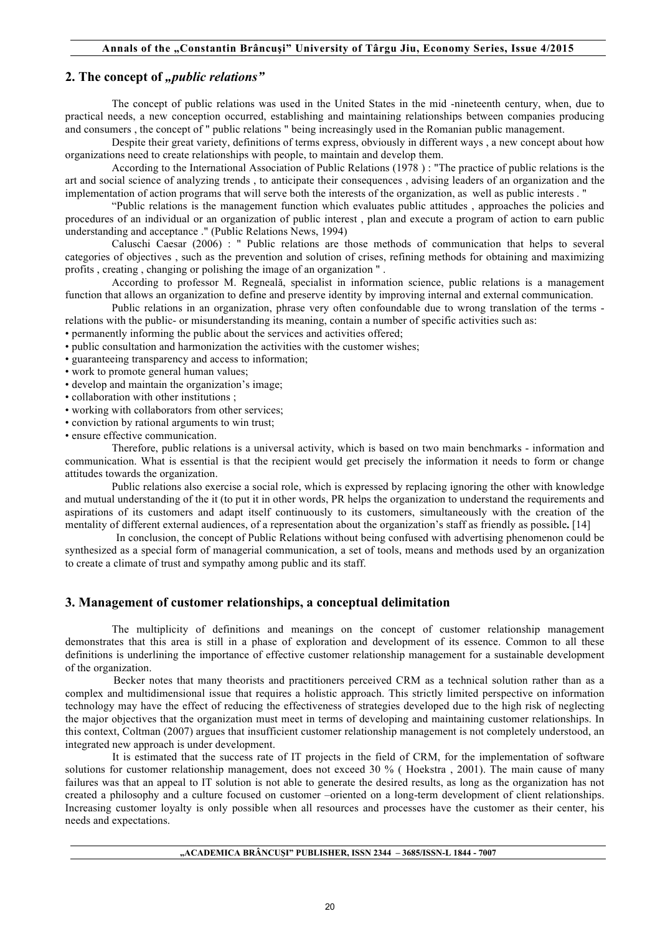## 2. The concept of *"public relations*"

The concept of public relations was used in the United States in the mid -nineteenth century, when, due to practical needs, a new conception occurred, establishing and maintaining relationships between companies producing and consumers , the concept of " public relations " being increasingly used in the Romanian public management.

Despite their great variety, definitions of terms express, obviously in different ways , a new concept about how organizations need to create relationships with people, to maintain and develop them.

According to the International Association of Public Relations (1978 ) : "The practice of public relations is the art and social science of analyzing trends , to anticipate their consequences , advising leaders of an organization and the implementation of action programs that will serve both the interests of the organization, as well as public interests . "

"Public relations is the management function which evaluates public attitudes , approaches the policies and procedures of an individual or an organization of public interest , plan and execute a program of action to earn public understanding and acceptance ." (Public Relations News, 1994)

Caluschi Caesar (2006) : " Public relations are those methods of communication that helps to several categories of objectives , such as the prevention and solution of crises, refining methods for obtaining and maximizing profits , creating , changing or polishing the image of an organization " .

According to professor M. Regneală, specialist in information science, public relations is a management function that allows an organization to define and preserve identity by improving internal and external communication.

Public relations in an organization, phrase very often confoundable due to wrong translation of the terms relations with the public- or misunderstanding its meaning, contain a number of specific activities such as:

• permanently informing the public about the services and activities offered;

• public consultation and harmonization the activities with the customer wishes;

• guaranteeing transparency and access to information;

• work to promote general human values;

• develop and maintain the organization's image;

• collaboration with other institutions ;

- working with collaborators from other services;
- conviction by rational arguments to win trust;
- ensure effective communication.

Therefore, public relations is a universal activity, which is based on two main benchmarks - information and communication. What is essential is that the recipient would get precisely the information it needs to form or change attitudes towards the organization.

Public relations also exercise a social role, which is expressed by replacing ignoring the other with knowledge and mutual understanding of the it (to put it in other words, PR helps the organization to understand the requirements and aspirations of its customers and adapt itself continuously to its customers, simultaneously with the creation of the mentality of different external audiences, of a representation about the organization's staff as friendly as possible**.** [14]

 In conclusion, the concept of Public Relations without being confused with advertising phenomenon could be synthesized as a special form of managerial communication, a set of tools, means and methods used by an organization to create a climate of trust and sympathy among public and its staff.

## **3. Management of customer relationships, a conceptual delimitation**

The multiplicity of definitions and meanings on the concept of customer relationship management demonstrates that this area is still in a phase of exploration and development of its essence. Common to all these definitions is underlining the importance of effective customer relationship management for a sustainable development of the organization.

Becker notes that many theorists and practitioners perceived CRM as a technical solution rather than as a complex and multidimensional issue that requires a holistic approach. This strictly limited perspective on information technology may have the effect of reducing the effectiveness of strategies developed due to the high risk of neglecting the major objectives that the organization must meet in terms of developing and maintaining customer relationships. In this context, Coltman (2007) argues that insufficient customer relationship management is not completely understood, an integrated new approach is under development.

 It is estimated that the success rate of IT projects in the field of CRM, for the implementation of software solutions for customer relationship management, does not exceed 30 % ( Hoekstra , 2001). The main cause of many failures was that an appeal to IT solution is not able to generate the desired results, as long as the organization has not created a philosophy and a culture focused on customer –oriented on a long-term development of client relationships. Increasing customer loyalty is only possible when all resources and processes have the customer as their center, his needs and expectations.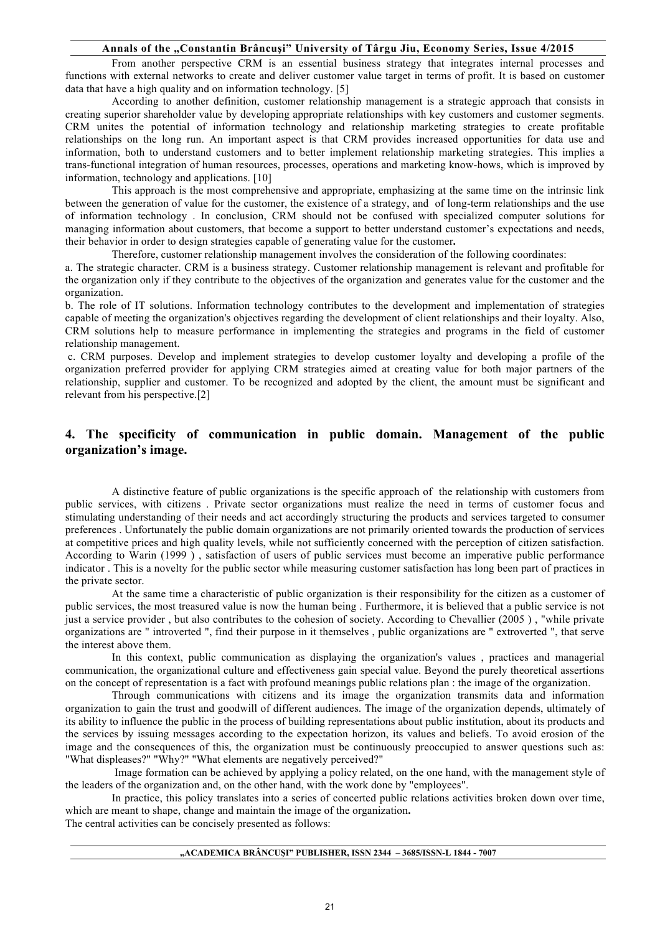#### **Annals of the "Constantin Brâncuşi" University of Târgu Jiu, Economy Series, Issue 4/2015**

From another perspective CRM is an essential business strategy that integrates internal processes and functions with external networks to create and deliver customer value target in terms of profit. It is based on customer data that have a high quality and on information technology. [5]

According to another definition, customer relationship management is a strategic approach that consists in creating superior shareholder value by developing appropriate relationships with key customers and customer segments. CRM unites the potential of information technology and relationship marketing strategies to create profitable relationships on the long run. An important aspect is that CRM provides increased opportunities for data use and information, both to understand customers and to better implement relationship marketing strategies. This implies a trans-functional integration of human resources, processes, operations and marketing know-hows, which is improved by information, technology and applications. [10]

This approach is the most comprehensive and appropriate, emphasizing at the same time on the intrinsic link between the generation of value for the customer, the existence of a strategy, and of long-term relationships and the use of information technology . In conclusion, CRM should not be confused with specialized computer solutions for managing information about customers, that become a support to better understand customer's expectations and needs, their behavior in order to design strategies capable of generating value for the customer**.** 

Therefore, customer relationship management involves the consideration of the following coordinates:

a. The strategic character. CRM is a business strategy. Customer relationship management is relevant and profitable for the organization only if they contribute to the objectives of the organization and generates value for the customer and the organization.

b. The role of IT solutions. Information technology contributes to the development and implementation of strategies capable of meeting the organization's objectives regarding the development of client relationships and their loyalty. Also, CRM solutions help to measure performance in implementing the strategies and programs in the field of customer relationship management.

c. CRM purposes. Develop and implement strategies to develop customer loyalty and developing a profile of the organization preferred provider for applying CRM strategies aimed at creating value for both major partners of the relationship, supplier and customer. To be recognized and adopted by the client, the amount must be significant and relevant from his perspective.[2]

# **4. The specificity of communication in public domain. Management of the public organization's image.**

A distinctive feature of public organizations is the specific approach of the relationship with customers from public services, with citizens . Private sector organizations must realize the need in terms of customer focus and stimulating understanding of their needs and act accordingly structuring the products and services targeted to consumer preferences . Unfortunately the public domain organizations are not primarily oriented towards the production of services at competitive prices and high quality levels, while not sufficiently concerned with the perception of citizen satisfaction. According to Warin (1999 ) , satisfaction of users of public services must become an imperative public performance indicator . This is a novelty for the public sector while measuring customer satisfaction has long been part of practices in the private sector.

At the same time a characteristic of public organization is their responsibility for the citizen as a customer of public services, the most treasured value is now the human being . Furthermore, it is believed that a public service is not just a service provider , but also contributes to the cohesion of society. According to Chevallier (2005 ) , "while private organizations are " introverted ", find their purpose in it themselves , public organizations are " extroverted ", that serve the interest above them.

In this context, public communication as displaying the organization's values , practices and managerial communication, the organizational culture and effectiveness gain special value. Beyond the purely theoretical assertions on the concept of representation is a fact with profound meanings public relations plan : the image of the organization.

Through communications with citizens and its image the organization transmits data and information organization to gain the trust and goodwill of different audiences. The image of the organization depends, ultimately of its ability to influence the public in the process of building representations about public institution, about its products and the services by issuing messages according to the expectation horizon, its values and beliefs. To avoid erosion of the image and the consequences of this, the organization must be continuously preoccupied to answer questions such as: "What displeases?" "Why?" "What elements are negatively perceived?"

Image formation can be achieved by applying a policy related, on the one hand, with the management style of the leaders of the organization and, on the other hand, with the work done by "employees".

In practice, this policy translates into a series of concerted public relations activities broken down over time, which are meant to shape, change and maintain the image of the organization**.** 

The central activities can be concisely presented as follows:

#### **"ACADEMICA BRÂNCUŞI" PUBLISHER, ISSN 2344 – 3685/ISSN-L 1844 - 7007**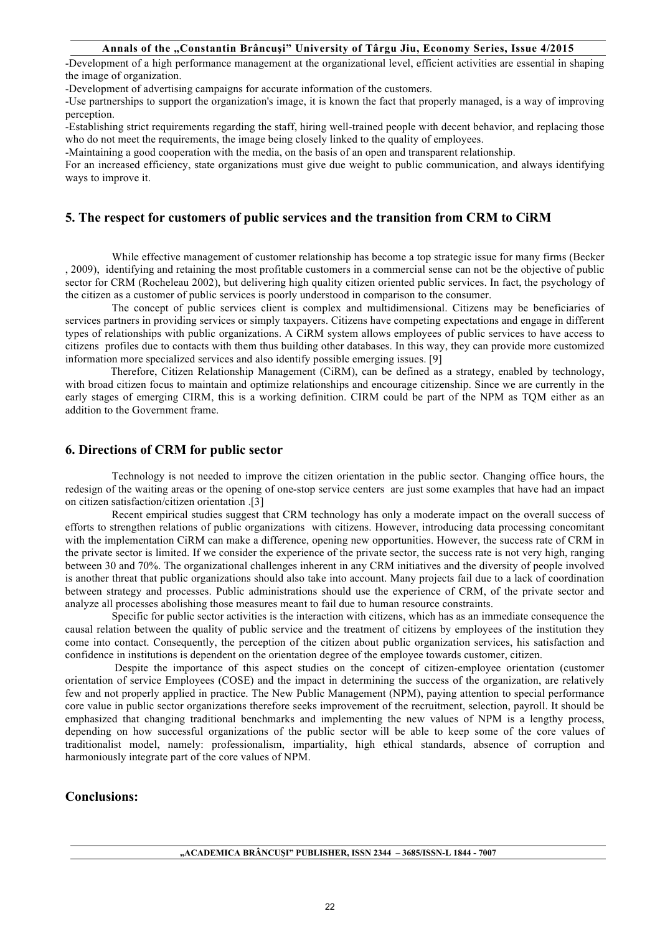#### **Annals of the "Constantin Brâncuşi" University of Târgu Jiu, Economy Series, Issue 4/2015**

-Development of a high performance management at the organizational level, efficient activities are essential in shaping the image of organization.

-Development of advertising campaigns for accurate information of the customers.

-Use partnerships to support the organization's image, it is known the fact that properly managed, is a way of improving perception.

-Establishing strict requirements regarding the staff, hiring well-trained people with decent behavior, and replacing those who do not meet the requirements, the image being closely linked to the quality of employees.

-Maintaining a good cooperation with the media, on the basis of an open and transparent relationship.

For an increased efficiency, state organizations must give due weight to public communication, and always identifying ways to improve it.

## **5. The respect for customers of public services and the transition from CRM to CiRM**

While effective management of customer relationship has become a top strategic issue for many firms (Becker , 2009), identifying and retaining the most profitable customers in a commercial sense can not be the objective of public sector for CRM (Rocheleau 2002), but delivering high quality citizen oriented public services. In fact, the psychology of the citizen as a customer of public services is poorly understood in comparison to the consumer.

The concept of public services client is complex and multidimensional. Citizens may be beneficiaries of services partners in providing services or simply taxpayers. Citizens have competing expectations and engage in different types of relationships with public organizations. A CiRM system allows employees of public services to have access to citizens profiles due to contacts with them thus building other databases. In this way, they can provide more customized information more specialized services and also identify possible emerging issues. [9]

 Therefore, Citizen Relationship Management (CiRM), can be defined as a strategy, enabled by technology, with broad citizen focus to maintain and optimize relationships and encourage citizenship. Since we are currently in the early stages of emerging CIRM, this is a working definition. CIRM could be part of the NPM as TQM either as an addition to the Government frame.

### **6. Directions of CRM for public sector**

Technology is not needed to improve the citizen orientation in the public sector. Changing office hours, the redesign of the waiting areas or the opening of one-stop service centers are just some examples that have had an impact on citizen satisfaction/citizen orientation .[3]

Recent empirical studies suggest that CRM technology has only a moderate impact on the overall success of efforts to strengthen relations of public organizations with citizens. However, introducing data processing concomitant with the implementation CiRM can make a difference, opening new opportunities. However, the success rate of CRM in the private sector is limited. If we consider the experience of the private sector, the success rate is not very high, ranging between 30 and 70%. The organizational challenges inherent in any CRM initiatives and the diversity of people involved is another threat that public organizations should also take into account. Many projects fail due to a lack of coordination between strategy and processes. Public administrations should use the experience of CRM, of the private sector and analyze all processes abolishing those measures meant to fail due to human resource constraints.

Specific for public sector activities is the interaction with citizens, which has as an immediate consequence the causal relation between the quality of public service and the treatment of citizens by employees of the institution they come into contact. Consequently, the perception of the citizen about public organization services, his satisfaction and confidence in institutions is dependent on the orientation degree of the employee towards customer, citizen.

Despite the importance of this aspect studies on the concept of citizen-employee orientation (customer orientation of service Employees (COSE) and the impact in determining the success of the organization, are relatively few and not properly applied in practice. The New Public Management (NPM), paying attention to special performance core value in public sector organizations therefore seeks improvement of the recruitment, selection, payroll. It should be emphasized that changing traditional benchmarks and implementing the new values of NPM is a lengthy process, depending on how successful organizations of the public sector will be able to keep some of the core values of traditionalist model, namely: professionalism, impartiality, high ethical standards, absence of corruption and harmoniously integrate part of the core values of NPM.

## **Conclusions:**